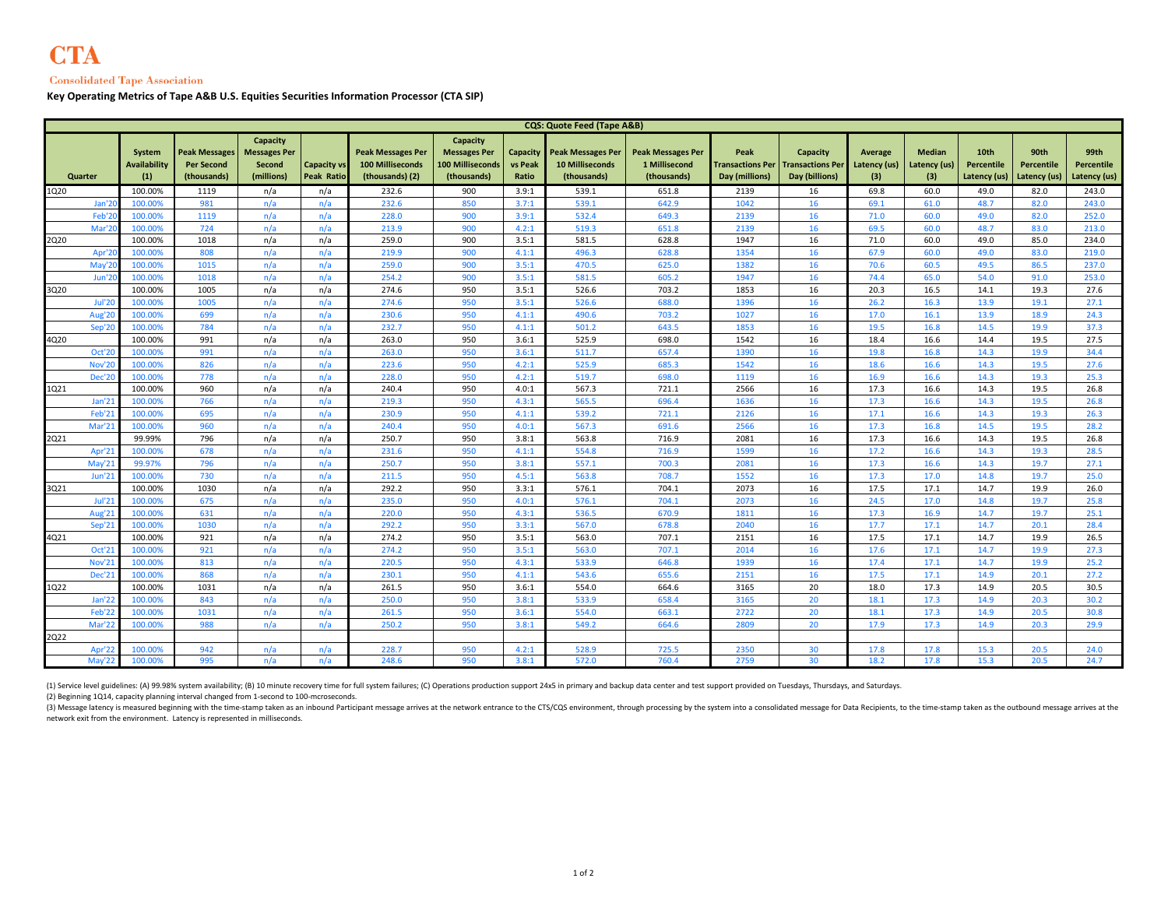## **Consolidated Tape Association**

**Key Operating Metrics of Tape A&B U.S. Equities Securities Information Processor (CTA SIP)**

|               | <b>CQS: Quote Feed (Tape A&amp;B)</b> |                                      |                                                   |                                                         |                                         |                                                                        |                                                                           |                              |                                                                   |                                                          |                        |                                                                        |                                       |                                      |                                           |                                           |                                    |
|---------------|---------------------------------------|--------------------------------------|---------------------------------------------------|---------------------------------------------------------|-----------------------------------------|------------------------------------------------------------------------|---------------------------------------------------------------------------|------------------------------|-------------------------------------------------------------------|----------------------------------------------------------|------------------------|------------------------------------------------------------------------|---------------------------------------|--------------------------------------|-------------------------------------------|-------------------------------------------|------------------------------------|
| Quarter       |                                       | System<br><b>Availability</b><br>(1) | Peak Messages<br><b>Per Second</b><br>(thousands) | Capacity<br><b>Messages Per</b><br>Second<br>(millions) | <b>Capacity vs</b><br><b>Peak Ratio</b> | <b>Peak Messages Per</b><br><b>100 Milliseconds</b><br>(thousands) (2) | Capacity<br><b>Messages Per</b><br><b>100 Milliseconds</b><br>(thousands) | Capacity<br>vs Peak<br>Ratio | <b>Peak Messages Per</b><br><b>10 Milliseconds</b><br>(thousands) | <b>Peak Messages Per</b><br>1 Millisecond<br>(thousands) | Peak<br>Day (millions) | Capacity<br><b>Transactions Per Transactions Per</b><br>Day (billions) | <b>Average</b><br>Latency (us)<br>(3) | <b>Median</b><br>Latency (us)<br>(3) | 10th<br><b>Percentile</b><br>Latency (us) | 90th<br><b>Percentile</b><br>Latency (us) | 99th<br>Percentile<br>Latency (us) |
| 1Q20          |                                       | 100.00%                              | 1119                                              | n/a                                                     | n/a                                     | 232.6                                                                  | 900                                                                       | 3.9:1                        | 539.1                                                             | 651.8                                                    | 2139                   | 16                                                                     | 69.8                                  | 60.0                                 | 49.0                                      | 82.0                                      | 243.0                              |
|               | Jan'2                                 | 100.00%                              | 981                                               | n/a                                                     | n/a                                     | 232.6                                                                  | 850                                                                       | 3.7:1                        | 539.1                                                             | 642.9                                                    | 1042                   | 16                                                                     | 69.1                                  | 61.0                                 | 48.7                                      | 82.0                                      | 243.0                              |
| Feb'2         |                                       | 100.00%                              | 1119                                              | n/a                                                     | n/a                                     | 228.0                                                                  | 900                                                                       | 3.9:1                        | 532.4                                                             | 649.3                                                    | 2139                   | 16                                                                     | 71.0                                  | 60.0                                 | 49.0                                      | 82.0                                      | 252.0                              |
| Mar'2         |                                       | 100.00%                              | 724                                               | n/a                                                     | n/a                                     | 213.9                                                                  | 900                                                                       | 4.2:1                        | 519.3                                                             | 651.8                                                    | 2139                   | 16                                                                     | 69.5                                  | 60.0                                 | 48.7                                      | 83.0                                      | 213.0                              |
| 2Q20          |                                       | 100.00%                              | 1018                                              | n/a                                                     | n/a                                     | 259.0                                                                  | 900                                                                       | 3.5:1                        | 581.5                                                             | 628.8                                                    | 1947                   | 16                                                                     | 71.0                                  | 60.0                                 | 49.0                                      | 85.0                                      | 234.0                              |
| Apr'2         |                                       | 100.00%                              | 808                                               | n/a                                                     | n/a                                     | 219.9                                                                  | 900                                                                       | 4.1:1                        | 496.3                                                             | 628.8                                                    | 1354                   | 16                                                                     | 67.9                                  | 60.0                                 | 49.0                                      | 83.0                                      | 219.0                              |
| May'2         |                                       | 100.00%                              | 1015                                              | n/a                                                     | n/a                                     | 259.0                                                                  | 900                                                                       | 3.5:1                        | 470.5                                                             | 625.0                                                    | 1382                   | 16                                                                     | 70.6                                  | 60.5                                 | 49.5                                      | 86.5                                      | 237.0                              |
|               | Jun'2                                 | 100.00%                              | 1018                                              | n/a                                                     | n/a                                     | 254.2                                                                  | 900                                                                       | 3.5:1                        | 581.5                                                             | 605.2                                                    | 1947                   | 16                                                                     | 74.4                                  | 65.0                                 | 54.0                                      | 91.0                                      | 253.0                              |
| 3020          |                                       | 100.00%                              | 1005                                              | n/a                                                     | n/a                                     | 274.6                                                                  | 950                                                                       | 3.5:1                        | 526.6                                                             | 703.2                                                    | 1853                   | 16                                                                     | 20.3                                  | 16.5                                 | 14.1                                      | 19.3                                      | 27.6                               |
|               | <b>Jul'20</b>                         | 100.00%                              | 1005                                              | n/a                                                     | n/a                                     | 274.6                                                                  | 950                                                                       | 3.5:1                        | 526.6                                                             | 688.0                                                    | 1396                   | 16                                                                     | 26.2                                  | 16.3                                 | 13.9                                      | 19.1                                      | 27.1                               |
|               | Aug'20                                | 100.00%                              | 699                                               | n/a                                                     | n/a                                     | 230.6                                                                  | 950                                                                       | 4.1:1                        | 490.6                                                             | 703.2                                                    | 1027                   | 16                                                                     | 17.0                                  | 16.1                                 | 13.9                                      | 18.9                                      | 24.3                               |
|               | Sep'20                                | 100.00%                              | 784                                               | n/a                                                     | n/a                                     | 232.7                                                                  | 950                                                                       | 4.1:1                        | 501.2                                                             | 643.5                                                    | 1853                   | 16                                                                     | 19.5                                  | 16.8                                 | 14.5                                      | 19.9                                      | 37.3                               |
| 4Q20          | Oct'20                                | 100.00%<br>100.00%                   | 991<br>991                                        | n/a<br>n/a                                              | n/a<br>n/a                              | 263.0<br>263.0                                                         | 950<br>950                                                                | 3.6:1<br>3.6:1               | 525.9<br>511.7                                                    | 698.0<br>657.4                                           | 1542<br>1390           | 16<br>16                                                               | 18.4<br>19.8                          | 16.6<br>16.8                         | 14.4<br>14.3                              | 19.5<br>19.9                              | 27.5<br>34.4                       |
| <b>Nov'20</b> |                                       | 100.00%                              | 826                                               | n/a                                                     | n/a                                     | 223.6                                                                  | 950                                                                       | 4.2:1                        | 525.9                                                             | 685.3                                                    | 1542                   | 16                                                                     | 18.6                                  | 16.6                                 | 14.3                                      | 19.5                                      | 27.6                               |
|               | Dec'20                                | 100.00%                              | 778                                               | n/a                                                     | n/a                                     | 228.0                                                                  | 950                                                                       | 4.2:1                        | 519.7                                                             | 698.0                                                    | 1119                   | 16                                                                     | 16.9                                  | 16.6                                 | 14.3                                      | 19.3                                      | 25.3                               |
| 1Q21          |                                       | 100.00%                              | 960                                               | n/a                                                     | n/a                                     | 240.4                                                                  | 950                                                                       | 4.0:1                        | 567.3                                                             | 721.1                                                    | 2566                   | 16                                                                     | 17.3                                  | 16.6                                 | 14.3                                      | 19.5                                      | 26.8                               |
|               | <b>Jan'21</b>                         | 100.00%                              | 766                                               | n/a                                                     | n/a                                     | 219.3                                                                  | 950                                                                       | 4.3:1                        | 565.5                                                             | 696.4                                                    | 1636                   | 16                                                                     | 17.3                                  | 16.6                                 | 14.3                                      | 19.5                                      | 26.8                               |
|               | Feb'21                                | 100.00%                              | 695                                               | n/a                                                     | n/a                                     | 230.9                                                                  | 950                                                                       | 4.1:1                        | 539.2                                                             | 721.1                                                    | 2126                   | 16                                                                     | 17.1                                  | 16.6                                 | 14.3                                      | 19.3                                      | 26.3                               |
| Mar'21        |                                       | 100.00%                              | 960                                               | n/a                                                     | n/a                                     | 240.4                                                                  | 950                                                                       | 4.0:1                        | 567.3                                                             | 691.6                                                    | 2566                   | 16                                                                     | 17.3                                  | 16.8                                 | 14.5                                      | 19.5                                      | 28.2                               |
| 2Q21          |                                       | 99.99%                               | 796                                               | n/a                                                     | n/a                                     | 250.7                                                                  | 950                                                                       | 3.8:1                        | 563.8                                                             | 716.9                                                    | 2081                   | 16                                                                     | 17.3                                  | 16.6                                 | 14.3                                      | 19.5                                      | 26.8                               |
|               | Apr'21                                | 100.00%                              | 678                                               | n/a                                                     | n/a                                     | 231.6                                                                  | 950                                                                       | 4.1:1                        | 554.8                                                             | 716.9                                                    | 1599                   | 16                                                                     | 17.2                                  | 16.6                                 | 14.3                                      | 19.3                                      | 28.5                               |
| May'2:        |                                       | 99.97%                               | 796                                               | n/a                                                     | n/a                                     | 250.7                                                                  | 950                                                                       | 3.8:1                        | 557.1                                                             | 700.3                                                    | 2081                   | 16                                                                     | 17.3                                  | 16.6                                 | 14.3                                      | 19.7                                      | 27.1                               |
|               | <b>Jun'21</b>                         | 100.00%                              | 730                                               | n/a                                                     | n/a                                     | 211.5                                                                  | 950                                                                       | 4.5:1                        | 563.8                                                             | 708.7                                                    | 1552                   | 16                                                                     | 17.3                                  | 17.0                                 | 14.8                                      | 19.7                                      | 25.0                               |
| 3Q21          |                                       | 100.00%                              | 1030                                              | n/a                                                     | n/a                                     | 292.2                                                                  | 950                                                                       | 3.3:1                        | 576.1                                                             | 704.1                                                    | 2073                   | 16                                                                     | 17.5                                  | 17.1                                 | 14.7                                      | 19.9                                      | 26.0                               |
|               | <b>Jul'21</b>                         | 100.00%                              | 675                                               | n/a                                                     | n/a                                     | 235.0                                                                  | 950                                                                       | 4.0:1                        | 576.1                                                             | 704.1                                                    | 2073                   | 16                                                                     | 24.5                                  | 17.0                                 | 14.8                                      | 19.7                                      | 25.8                               |
| Aug'21        |                                       | 100.00%                              | 631                                               | n/a                                                     | n/a                                     | 220.0                                                                  | 950                                                                       | 4.3:1                        | 536.5                                                             | 670.9                                                    | 1811                   | 16                                                                     | 17.3                                  | 16.9                                 | 14.7                                      | 19.7                                      | 25.1                               |
|               | Sep'21                                | 100.009                              | 1030                                              | n/a                                                     | n/a                                     | 292.2                                                                  | 950                                                                       | 3.3:1                        | 567.0                                                             | 678.8                                                    | 2040                   | 16                                                                     | 17.7                                  | 17.1                                 | 14.7                                      | 20.1                                      | 28.4                               |
| 4Q21          |                                       | 100.00%                              | 921                                               | n/a                                                     | n/a                                     | 274.2                                                                  | 950                                                                       | 3.5:1                        | 563.0                                                             | 707.1                                                    | 2151                   | 16                                                                     | 17.5                                  | 17.1                                 | 14.7                                      | 19.9                                      | 26.5                               |
|               | Oct'21                                | 100.009                              | 921                                               | n/a                                                     | n/a                                     | 274.2                                                                  | 950                                                                       | 3.5:1                        | 563.0                                                             | 707.1                                                    | 2014                   | 16                                                                     | 17.6                                  | 17.1                                 | 14.7                                      | 19.9                                      | 27.3                               |
|               | Nov'21                                | 100.009                              | 813                                               | n/a                                                     | n/a                                     | 220.5                                                                  | 950                                                                       | 4.3:1                        | 533.9                                                             | 646.8                                                    | 1939                   | 16                                                                     | 17.4                                  | 17.1                                 | 14.7                                      | 19.9                                      | 25.2                               |
|               | <b>Dec'21</b>                         | 100.00%                              | 868                                               | n/a                                                     | n/a                                     | 230.1                                                                  | 950                                                                       | 4.1:1                        | 543.6                                                             | 655.6                                                    | 2151                   | 16                                                                     | 17.5                                  | 17.1                                 | 14.9                                      | 20.1                                      | 27.2                               |
| 1Q22          |                                       | 100.00%                              | 1031                                              | n/a                                                     | n/a                                     | 261.5                                                                  | 950                                                                       | 3.6:1                        | 554.0                                                             | 664.6                                                    | 3165                   | 20                                                                     | 18.0                                  | 17.3                                 | 14.9                                      | 20.5                                      | 30.5                               |
|               | Jan'22                                | 100.00%                              | 843                                               | n/a                                                     | n/a                                     | 250.0                                                                  | 950                                                                       | 3.8:1                        | 533.9                                                             | 658.4                                                    | 3165                   | 20                                                                     | 18.1                                  | 17.3                                 | 14.9                                      | 20.3                                      | 30.2                               |
|               | Feb'22                                | 100.00%                              | 1031                                              | n/a                                                     | n/a                                     | 261.5                                                                  | 950                                                                       | 3.6:1                        | 554.0                                                             | 663.1                                                    | 2722                   | 20                                                                     | 18.1                                  | 17.3                                 | 14.9                                      | 20.5                                      | 30.8                               |
| Mar'22        |                                       | 100.00%                              | 988                                               | n/a                                                     | n/a                                     | 250.2                                                                  | 950                                                                       | 3.8:1                        | 549.2                                                             | 664.6                                                    | 2809                   | 20                                                                     | 17.9                                  | 17.3                                 | 14.9                                      | 20.3                                      | 29.9                               |
| 2Q22          |                                       |                                      |                                                   |                                                         |                                         |                                                                        |                                                                           |                              |                                                                   |                                                          |                        |                                                                        |                                       |                                      |                                           |                                           |                                    |
|               | Apr'22                                | 100.00%                              | 942                                               | n/a                                                     | n/a                                     | 228.7                                                                  | 950                                                                       | 4.2:1                        | 528.9                                                             | 725.5                                                    | 2350                   | 30                                                                     | 17.8                                  | 17.8                                 | 15.3                                      | 20.5                                      | 24.0                               |
| May'22        |                                       | 100.00%                              | 995                                               | n/a                                                     | n/a                                     | 248.6                                                                  | 950                                                                       | 3.8:1                        | 572.0                                                             | 760.4                                                    | 2759                   | 30                                                                     | 18.2                                  | 17.8                                 | 15.3                                      | 20.5                                      | 24.7                               |

(1) Service level guidelines: (A) 99.98% system availability; (B) 10 minute recovery time for full system failures; (C) Operations production support 24x5 in primary and backup data center and test support provided on Tues

(2) Beginning 1Q14, capacity planning interval changed from 1-second to 100-mcroseconds. 

(3) Message latency is measured beginning with the time-stamp taken as an inbound Participant message arrives at the network entrance to the CTS/CQS environment, through processing by the system into a consolidated message network exit from the environment. Latency is represented in milliseconds.